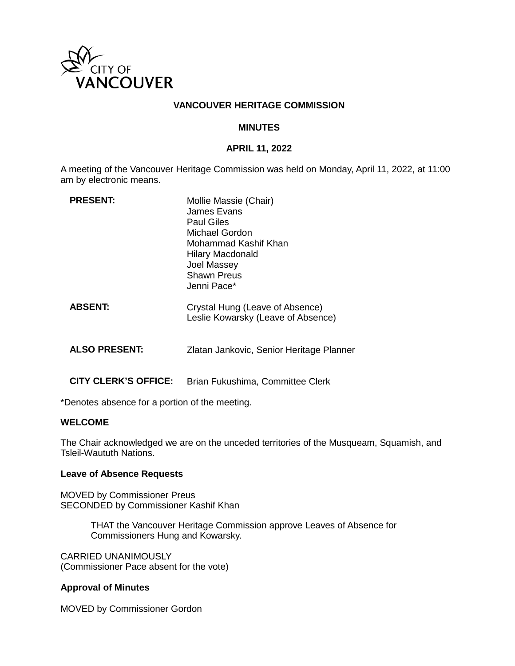

## **VANCOUVER HERITAGE COMMISSION**

### **MINUTES**

#### **APRIL 11, 2022**

A meeting of the Vancouver Heritage Commission was held on Monday, April 11, 2022, at 11:00 am by electronic means.

| <b>PRESENT:</b>      | Mollie Massie (Chair)<br>James Evans<br><b>Paul Giles</b><br>Michael Gordon<br>Mohammad Kashif Khan<br><b>Hilary Macdonald</b><br><b>Joel Massey</b><br>Shawn Preus<br>Jenni Pace* |
|----------------------|------------------------------------------------------------------------------------------------------------------------------------------------------------------------------------|
| <b>ABSENT:</b>       | Crystal Hung (Leave of Absence)<br>Leslie Kowarsky (Leave of Absence)                                                                                                              |
| <b>ALSO PRESENT:</b> | Zlatan Jankovic, Senior Heritage Planner                                                                                                                                           |

**CITY CLERK'S OFFICE:** Brian Fukushima, Committee Clerk

\*Denotes absence for a portion of the meeting.

#### **WELCOME**

The Chair acknowledged we are on the unceded territories of the Musqueam, Squamish, and Tsleil-Waututh Nations.

#### **Leave of Absence Requests**

MOVED by Commissioner Preus SECONDED by Commissioner Kashif Khan

> THAT the Vancouver Heritage Commission approve Leaves of Absence for Commissioners Hung and Kowarsky.

CARRIED UNANIMOUSLY (Commissioner Pace absent for the vote)

#### **Approval of Minutes**

MOVED by Commissioner Gordon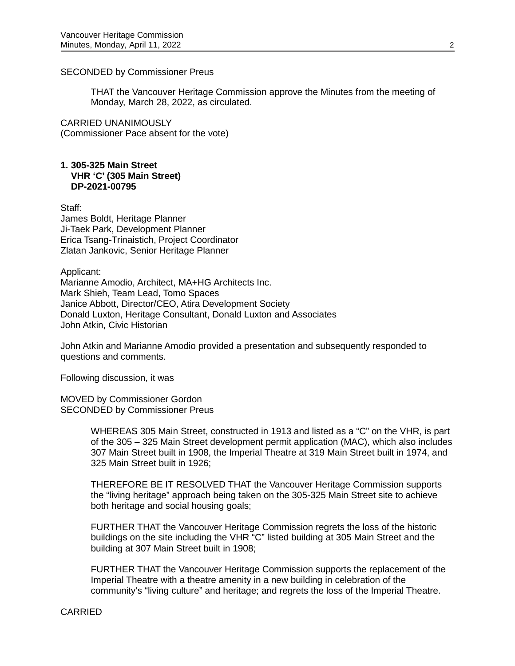### SECONDED by Commissioner Preus

THAT the Vancouver Heritage Commission approve the Minutes from the meeting of Monday, March 28, 2022, as circulated.

CARRIED UNANIMOUSLY (Commissioner Pace absent for the vote)

#### **1. 305-325 Main Street VHR 'C' (305 Main Street) DP-2021-00795**

Staff: James Boldt, Heritage Planner Ji-Taek Park, Development Planner Erica Tsang-Trinaistich, Project Coordinator Zlatan Jankovic, Senior Heritage Planner

Applicant: Marianne Amodio, Architect, MA+HG Architects Inc. Mark Shieh, Team Lead, Tomo Spaces Janice Abbott, Director/CEO, Atira Development Society Donald Luxton, Heritage Consultant, Donald Luxton and Associates John Atkin, Civic Historian

John Atkin and Marianne Amodio provided a presentation and subsequently responded to questions and comments.

Following discussion, it was

MOVED by Commissioner Gordon SECONDED by Commissioner Preus

> WHEREAS 305 Main Street, constructed in 1913 and listed as a "C" on the VHR, is part of the 305 – 325 Main Street development permit application (MAC), which also includes 307 Main Street built in 1908, the Imperial Theatre at 319 Main Street built in 1974, and 325 Main Street built in 1926;

THEREFORE BE IT RESOLVED THAT the Vancouver Heritage Commission supports the "living heritage" approach being taken on the 305-325 Main Street site to achieve both heritage and social housing goals;

FURTHER THAT the Vancouver Heritage Commission regrets the loss of the historic buildings on the site including the VHR "C" listed building at 305 Main Street and the building at 307 Main Street built in 1908;

FURTHER THAT the Vancouver Heritage Commission supports the replacement of the Imperial Theatre with a theatre amenity in a new building in celebration of the community's "living culture" and heritage; and regrets the loss of the Imperial Theatre.

CARRIED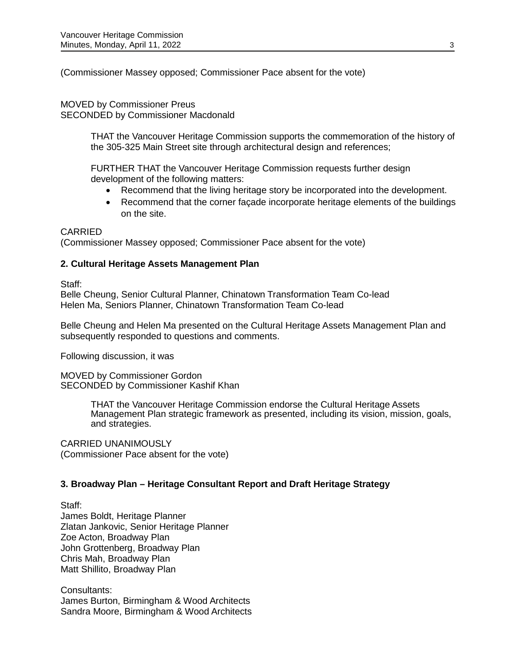(Commissioner Massey opposed; Commissioner Pace absent for the vote)

MOVED by Commissioner Preus SECONDED by Commissioner Macdonald

> THAT the Vancouver Heritage Commission supports the commemoration of the history of the 305-325 Main Street site through architectural design and references;

FURTHER THAT the Vancouver Heritage Commission requests further design development of the following matters:

- Recommend that the living heritage story be incorporated into the development.
- Recommend that the corner façade incorporate heritage elements of the buildings on the site.

## CARRIED

(Commissioner Massey opposed; Commissioner Pace absent for the vote)

## **2. Cultural Heritage Assets Management Plan**

Staff:

Belle Cheung, Senior Cultural Planner, Chinatown Transformation Team Co-lead Helen Ma, Seniors Planner, Chinatown Transformation Team Co-lead

Belle Cheung and Helen Ma presented on the Cultural Heritage Assets Management Plan and subsequently responded to questions and comments.

Following discussion, it was

MOVED by Commissioner Gordon SECONDED by Commissioner Kashif Khan

> THAT the Vancouver Heritage Commission endorse the Cultural Heritage Assets Management Plan strategic framework as presented, including its vision, mission, goals, and strategies.

CARRIED UNANIMOUSLY (Commissioner Pace absent for the vote)

## **3. Broadway Plan – Heritage Consultant Report and Draft Heritage Strategy**

Staff:

James Boldt, Heritage Planner Zlatan Jankovic, Senior Heritage Planner Zoe Acton, Broadway Plan John Grottenberg, Broadway Plan Chris Mah, Broadway Plan Matt Shillito, Broadway Plan

Consultants: James Burton, Birmingham & Wood Architects Sandra Moore, Birmingham & Wood Architects